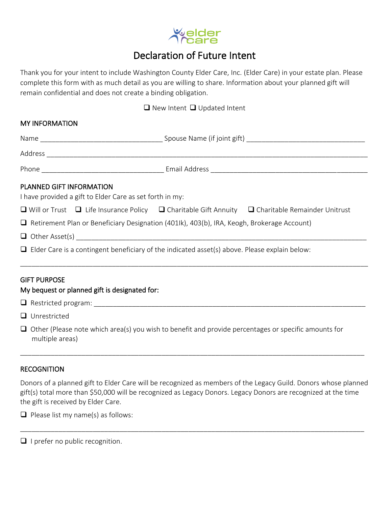

## Declaration of Future Intent

Thank you for your intent to include Washington County Elder Care, Inc. (Elder Care) in your estate plan. Please complete this form with as much detail as you are willing to share. Information about your planned gift will remain confidential and does not create a binding obligation.

## ❑ New Intent ❑ Updated Intent

| PLANNED GIFT INFORMATION<br>I have provided a gift to Elder Care as set forth in my:                 |                                               |  |                                                                                                                       |
|------------------------------------------------------------------------------------------------------|-----------------------------------------------|--|-----------------------------------------------------------------------------------------------------------------------|
|                                                                                                      |                                               |  | $\Box$ Will or Trust $\Box$ Life Insurance Policy $\Box$ Charitable Gift Annuity $\Box$ Charitable Remainder Unitrust |
| Retirement Plan or Beneficiary Designation (401lk), 403(b), IRA, Keogh, Brokerage Account)           |                                               |  |                                                                                                                       |
|                                                                                                      |                                               |  |                                                                                                                       |
| $\Box$ Elder Care is a contingent beneficiary of the indicated asset(s) above. Please explain below: |                                               |  |                                                                                                                       |
| <b>GIFT PURPOSE</b>                                                                                  | My bequest or planned gift is designated for: |  |                                                                                                                       |
|                                                                                                      |                                               |  |                                                                                                                       |

❑ Unrestricted

❑ Other (Please note which area(s) you wish to benefit and provide percentages or specific amounts for multiple areas)

## **RECOGNITION**

Donors of a planned gift to Elder Care will be recognized as members of the Legacy Guild. Donors whose planned gift(s) total more than \$50,000 will be recognized as Legacy Donors. Legacy Donors are recognized at the time the gift is received by Elder Care.

\_\_\_\_\_\_\_\_\_\_\_\_\_\_\_\_\_\_\_\_\_\_\_\_\_\_\_\_\_\_\_\_\_\_\_\_\_\_\_\_\_\_\_\_\_\_\_\_\_\_\_\_\_\_\_\_\_\_\_\_\_\_\_\_\_\_\_\_\_\_\_\_\_\_\_\_\_\_\_\_\_\_\_\_\_\_\_\_\_\_

\_\_\_\_\_\_\_\_\_\_\_\_\_\_\_\_\_\_\_\_\_\_\_\_\_\_\_\_\_\_\_\_\_\_\_\_\_\_\_\_\_\_\_\_\_\_\_\_\_\_\_\_\_\_\_\_\_\_\_\_\_\_\_\_\_\_\_\_\_\_\_\_\_\_\_\_\_\_\_\_\_\_\_\_\_\_\_\_\_\_

 $\Box$  Please list my name(s) as follows:

□ I prefer no public recognition.